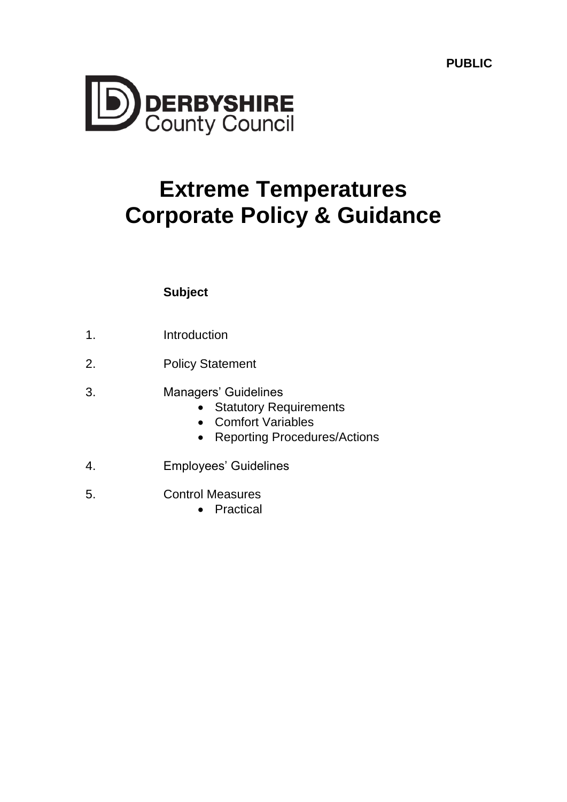**PUBLIC**



# **Extreme Temperatures Corporate Policy & Guidance**

# **Subject**

- 1. Introduction
- 2. Policy Statement
- 3. Managers' Guidelines
	- Statutory Requirements
	- Comfort Variables
	- Reporting Procedures/Actions
- 4. Employees' Guidelines
- 5. Control Measures
	- Practical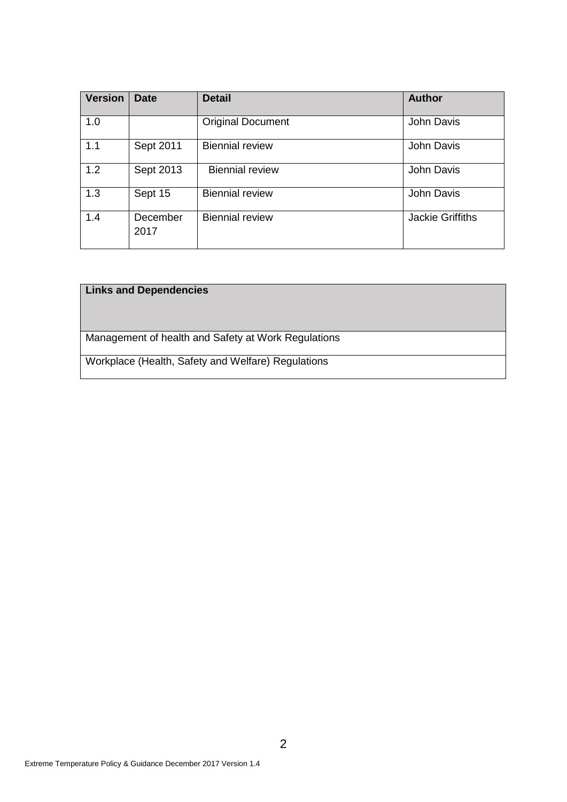| <b>Version</b> | <b>Date</b>      | <b>Detail</b>            | <b>Author</b>           |
|----------------|------------------|--------------------------|-------------------------|
| 1.0            |                  | <b>Original Document</b> | John Davis              |
| 1.1            | Sept 2011        | <b>Biennial review</b>   | John Davis              |
| 1.2            | Sept 2013        | <b>Biennial review</b>   | John Davis              |
| 1.3            | Sept 15          | <b>Biennial review</b>   | John Davis              |
| 1.4            | December<br>2017 | <b>Biennial review</b>   | <b>Jackie Griffiths</b> |

## **Links and Dependencies**

Management of health and Safety at Work Regulations

Workplace (Health, Safety and Welfare) Regulations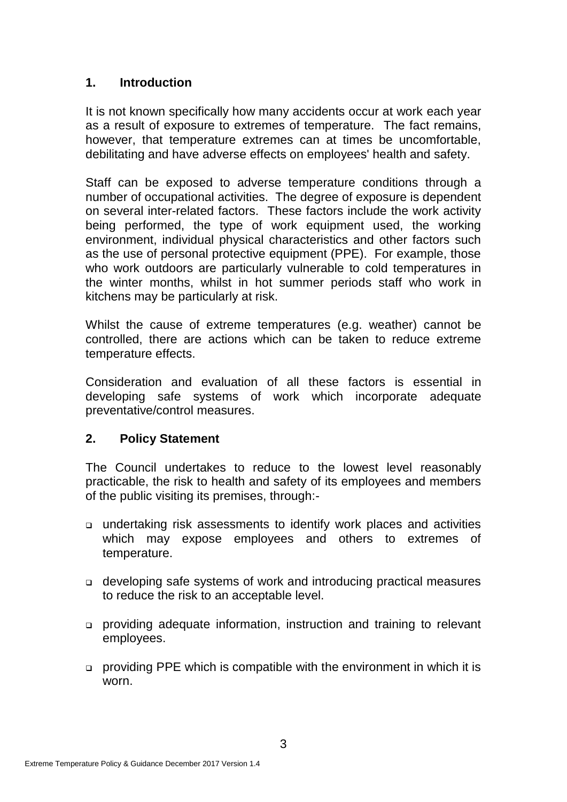# **1. Introduction**

It is not known specifically how many accidents occur at work each year as a result of exposure to extremes of temperature. The fact remains, however, that temperature extremes can at times be uncomfortable, debilitating and have adverse effects on employees' health and safety.

Staff can be exposed to adverse temperature conditions through a number of occupational activities. The degree of exposure is dependent on several inter-related factors. These factors include the work activity being performed, the type of work equipment used, the working environment, individual physical characteristics and other factors such as the use of personal protective equipment (PPE). For example, those who work outdoors are particularly vulnerable to cold temperatures in the winter months, whilst in hot summer periods staff who work in kitchens may be particularly at risk.

Whilst the cause of extreme temperatures (e.g. weather) cannot be controlled, there are actions which can be taken to reduce extreme temperature effects.

Consideration and evaluation of all these factors is essential in developing safe systems of work which incorporate adequate preventative/control measures.

## **2. Policy Statement**

The Council undertakes to reduce to the lowest level reasonably practicable, the risk to health and safety of its employees and members of the public visiting its premises, through:-

- undertaking risk assessments to identify work places and activities which may expose employees and others to extremes of temperature.
- developing safe systems of work and introducing practical measures to reduce the risk to an acceptable level.
- providing adequate information, instruction and training to relevant employees.
- providing PPE which is compatible with the environment in which it is worn.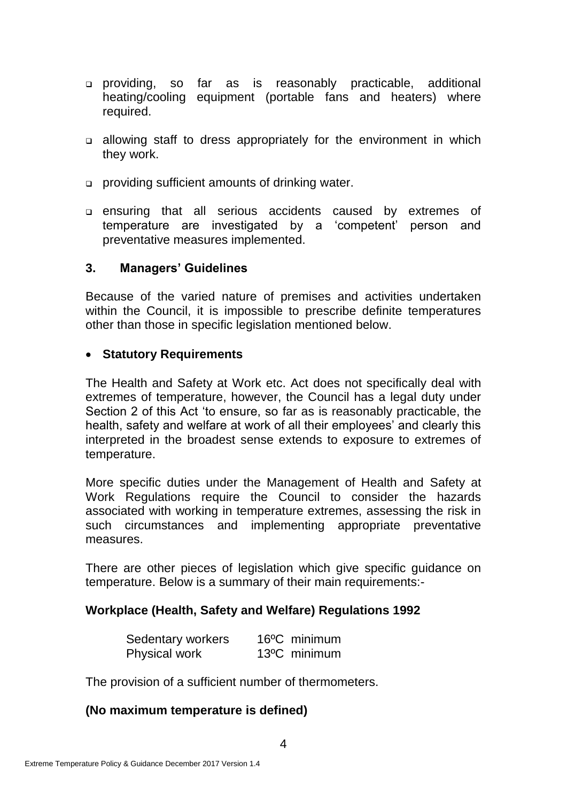- providing, so far as is reasonably practicable, additional heating/cooling equipment (portable fans and heaters) where required.
- allowing staff to dress appropriately for the environment in which they work.
- providing sufficient amounts of drinking water.
- ensuring that all serious accidents caused by extremes of temperature are investigated by a 'competent' person and preventative measures implemented.

#### **3. Managers' Guidelines**

Because of the varied nature of premises and activities undertaken within the Council, it is impossible to prescribe definite temperatures other than those in specific legislation mentioned below.

#### **Statutory Requirements**

The Health and Safety at Work etc. Act does not specifically deal with extremes of temperature, however, the Council has a legal duty under Section 2 of this Act 'to ensure, so far as is reasonably practicable, the health, safety and welfare at work of all their employees' and clearly this interpreted in the broadest sense extends to exposure to extremes of temperature.

More specific duties under the Management of Health and Safety at Work Regulations require the Council to consider the hazards associated with working in temperature extremes, assessing the risk in such circumstances and implementing appropriate preventative measures.

There are other pieces of legislation which give specific guidance on temperature. Below is a summary of their main requirements:-

## **Workplace (Health, Safety and Welfare) Regulations 1992**

| Sedentary workers    | 16 <sup>o</sup> C minimum |  |
|----------------------|---------------------------|--|
| <b>Physical work</b> | 13°C minimum              |  |

The provision of a sufficient number of thermometers.

## **(No maximum temperature is defined)**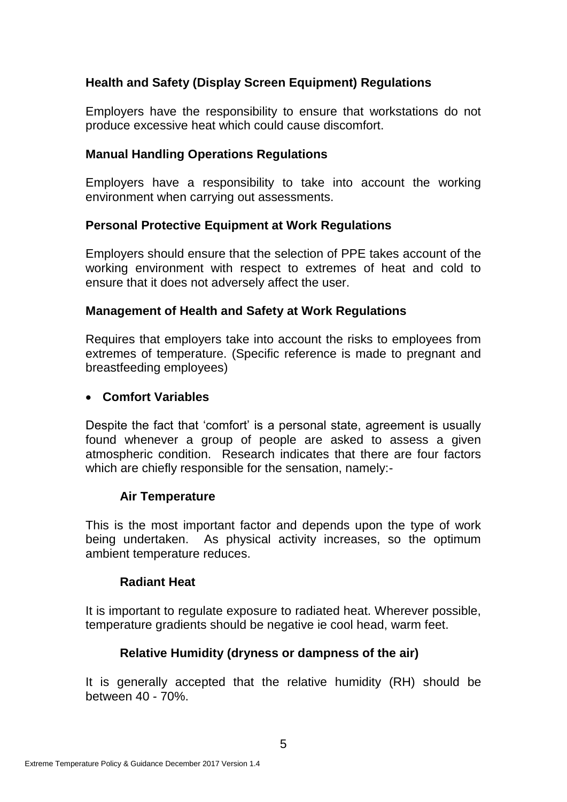# **Health and Safety (Display Screen Equipment) Regulations**

Employers have the responsibility to ensure that workstations do not produce excessive heat which could cause discomfort.

## **Manual Handling Operations Regulations**

Employers have a responsibility to take into account the working environment when carrying out assessments.

## **Personal Protective Equipment at Work Regulations**

Employers should ensure that the selection of PPE takes account of the working environment with respect to extremes of heat and cold to ensure that it does not adversely affect the user.

#### **Management of Health and Safety at Work Regulations**

Requires that employers take into account the risks to employees from extremes of temperature. (Specific reference is made to pregnant and breastfeeding employees)

#### **Comfort Variables**

Despite the fact that 'comfort' is a personal state, agreement is usually found whenever a group of people are asked to assess a given atmospheric condition. Research indicates that there are four factors which are chiefly responsible for the sensation, namely:-

## **Air Temperature**

This is the most important factor and depends upon the type of work being undertaken. As physical activity increases, so the optimum ambient temperature reduces.

#### **Radiant Heat**

It is important to regulate exposure to radiated heat. Wherever possible, temperature gradients should be negative ie cool head, warm feet.

## **Relative Humidity (dryness or dampness of the air)**

It is generally accepted that the relative humidity (RH) should be between 40 - 70%.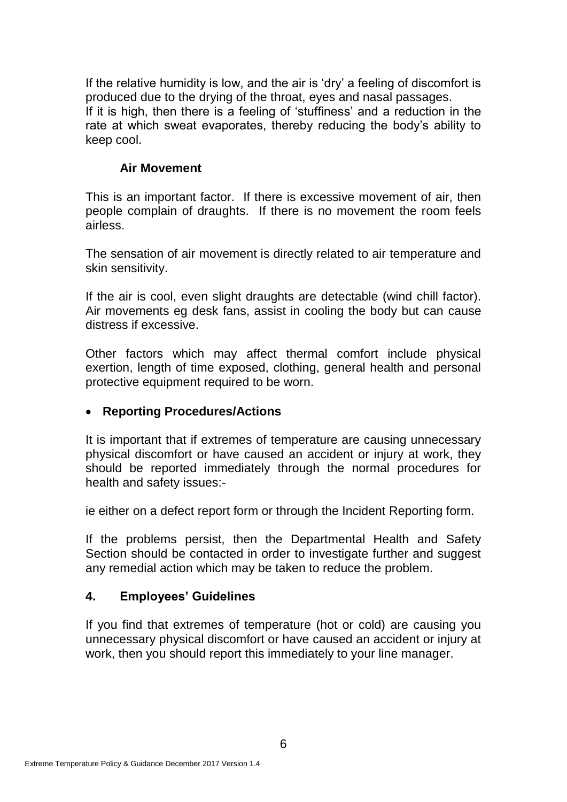If the relative humidity is low, and the air is 'dry' a feeling of discomfort is produced due to the drying of the throat, eyes and nasal passages. If it is high, then there is a feeling of 'stuffiness' and a reduction in the rate at which sweat evaporates, thereby reducing the body's ability to keep cool.

## **Air Movement**

This is an important factor. If there is excessive movement of air, then people complain of draughts. If there is no movement the room feels airless.

The sensation of air movement is directly related to air temperature and skin sensitivity.

If the air is cool, even slight draughts are detectable (wind chill factor). Air movements eg desk fans, assist in cooling the body but can cause distress if excessive.

Other factors which may affect thermal comfort include physical exertion, length of time exposed, clothing, general health and personal protective equipment required to be worn.

# **Reporting Procedures/Actions**

It is important that if extremes of temperature are causing unnecessary physical discomfort or have caused an accident or injury at work, they should be reported immediately through the normal procedures for health and safety issues:-

ie either on a defect report form or through the Incident Reporting form.

If the problems persist, then the Departmental Health and Safety Section should be contacted in order to investigate further and suggest any remedial action which may be taken to reduce the problem.

# **4. Employees' Guidelines**

If you find that extremes of temperature (hot or cold) are causing you unnecessary physical discomfort or have caused an accident or injury at work, then you should report this immediately to your line manager.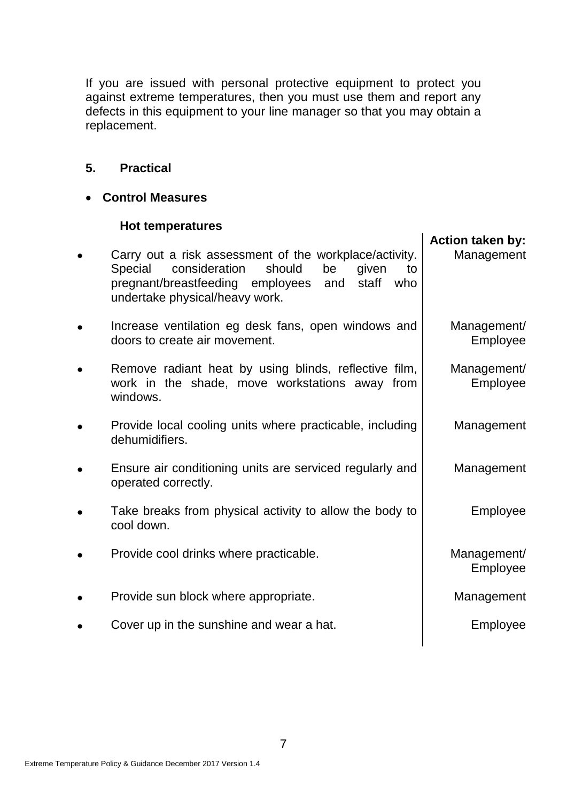If you are issued with personal protective equipment to protect you against extreme temperatures, then you must use them and report any defects in this equipment to your line manager so that you may obtain a replacement.

# **5. Practical**

## **Control Measures**

## **Hot temperatures**

| Carry out a risk assessment of the workplace/activity.<br>consideration<br>should<br>Special<br>be<br>given<br>to<br>pregnant/breastfeeding employees<br>staff<br>who<br>and<br>undertake physical/heavy work. | <b>Action taken by:</b><br>Management |
|----------------------------------------------------------------------------------------------------------------------------------------------------------------------------------------------------------------|---------------------------------------|
| Increase ventilation eg desk fans, open windows and<br>doors to create air movement.                                                                                                                           | Management/<br>Employee               |
| Remove radiant heat by using blinds, reflective film,<br>work in the shade, move workstations away from<br>windows.                                                                                            | Management/<br>Employee               |
| Provide local cooling units where practicable, including<br>dehumidifiers.                                                                                                                                     | Management                            |
| Ensure air conditioning units are serviced regularly and<br>operated correctly.                                                                                                                                | Management                            |
| Take breaks from physical activity to allow the body to<br>cool down.                                                                                                                                          | Employee                              |
| Provide cool drinks where practicable.                                                                                                                                                                         | Management/<br>Employee               |
| Provide sun block where appropriate.                                                                                                                                                                           | Management                            |
| Cover up in the sunshine and wear a hat.                                                                                                                                                                       | Employee                              |